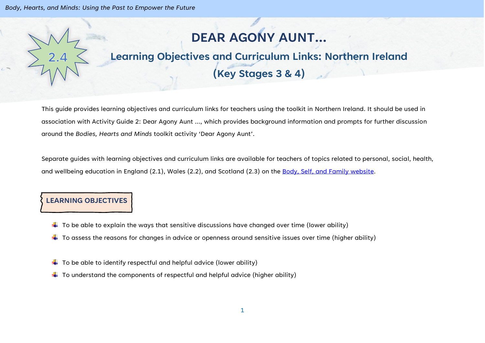## **DEAR AGONY AUNT…**

# **Learning Objectives and Curriculum Links: Northern Ireland**

## **(Key Stages 3 & 4)**

This guide provides learning objectives and curriculum links for teachers using the toolkit in Northern Ireland. It should be used in association with Activity Guide 2: Dear Agony Aunt …, which provides background information and prompts for further discussion around the *Bodies, Hearts and Minds* toolkit activity 'Dear Agony Aunt'.

Separate guides with learning objectives and curriculum links are available for teachers of topics related to personal, social, health, and wellbeing education in England (2.1), Wales (2.2), and Scotland (2.3) on the [Body, Self, and Family website.](https://bodyselffamily.org/)

### **LEARNING OBJECTIVES**

- $\downarrow$  To be able to explain the ways that sensitive discussions have changed over time (lower ability)
- $\ddotplus$  To assess the reasons for changes in advice or openness around sensitive issues over time (higher ability)
- $\downarrow$  To be able to identify respectful and helpful advice (lower ability)
- $\downarrow$  To understand the components of respectful and helpful advice (higher ability)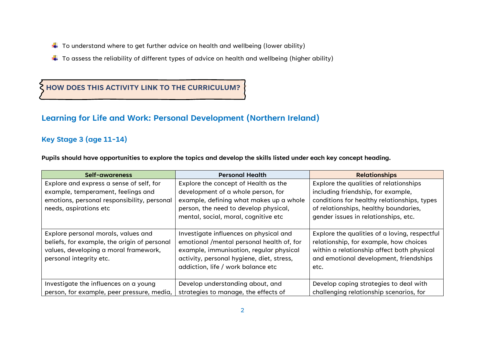- $\downarrow$  To understand where to get further advice on health and wellbeing (lower ability)
- $\downarrow$  To assess the reliability of different types of advice on health and wellbeing (higher ability)

## **HOW DOES THIS ACTIVITY LINK TO THE CURRICULUM?**

## **Learning for Life and Work: Personal Development (Northern Ireland)**

#### **Key Stage 3 (age 11-14)**

**Pupils should have opportunities to explore the topics and develop the skills listed under each key concept heading.**

| Self-awareness                                                                                                                                          | <b>Personal Health</b>                                                                                                                                                                                            | <b>Relationships</b>                                                                                                                                                                                         |
|---------------------------------------------------------------------------------------------------------------------------------------------------------|-------------------------------------------------------------------------------------------------------------------------------------------------------------------------------------------------------------------|--------------------------------------------------------------------------------------------------------------------------------------------------------------------------------------------------------------|
| Explore and express a sense of self, for<br>example, temperament, feelings and<br>emotions, personal responsibility, personal<br>needs, aspirations etc | Explore the concept of Health as the<br>development of a whole person, for<br>example, defining what makes up a whole<br>person, the need to develop physical,<br>mental, social, moral, cognitive etc            | Explore the qualities of relationships<br>including friendship, for example,<br>conditions for healthy relationships, types<br>of relationships, healthy boundaries,<br>gender issues in relationships, etc. |
| Explore personal morals, values and<br>beliefs, for example, the origin of personal<br>values, developing a moral framework,<br>personal integrity etc. | Investigate influences on physical and<br>emotional /mental personal health of, for<br>example, immunisation, regular physical<br>activity, personal hygiene, diet, stress,<br>addiction, life / work balance etc | Explore the qualities of a loving, respectful<br>relationship, for example, how choices<br>within a relationship affect both physical<br>and emotional development, friendships<br>etc.                      |
| Investigate the influences on a young<br>person, for example, peer pressure, media,                                                                     | Develop understanding about, and<br>strategies to manage, the effects of                                                                                                                                          | Develop coping strategies to deal with<br>challenging relationship scenarios, for                                                                                                                            |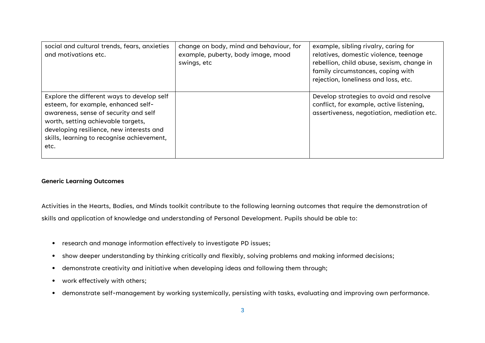| social and cultural trends, fears, anxieties<br>and motivations etc.                                                                                                                                                                                               | change on body, mind and behaviour, for<br>example, puberty, body image, mood<br>swings, etc | example, sibling rivalry, caring for<br>relatives, domestic violence, teenage<br>rebellion, child abuse, sexism, change in<br>family circumstances, coping with<br>rejection, loneliness and loss, etc. |
|--------------------------------------------------------------------------------------------------------------------------------------------------------------------------------------------------------------------------------------------------------------------|----------------------------------------------------------------------------------------------|---------------------------------------------------------------------------------------------------------------------------------------------------------------------------------------------------------|
| Explore the different ways to develop self<br>esteem, for example, enhanced self-<br>awareness, sense of security and self<br>worth, setting achievable targets,<br>developing resilience, new interests and<br>skills, learning to recognise achievement,<br>etc. |                                                                                              | Develop strategies to avoid and resolve<br>conflict, for example, active listening,<br>assertiveness, negotiation, mediation etc.                                                                       |

#### **Generic Learning Outcomes**

Activities in the Hearts, Bodies, and Minds toolkit contribute to the following learning outcomes that require the demonstration of skills and application of knowledge and understanding of Personal Development. Pupils should be able to:

- research and manage information effectively to investigate PD issues;
- show deeper understanding by thinking critically and flexibly, solving problems and making informed decisions;
- demonstrate creativity and initiative when developing ideas and following them through;
- work effectively with others;
- demonstrate self-management by working systemically, persisting with tasks, evaluating and improving own performance.